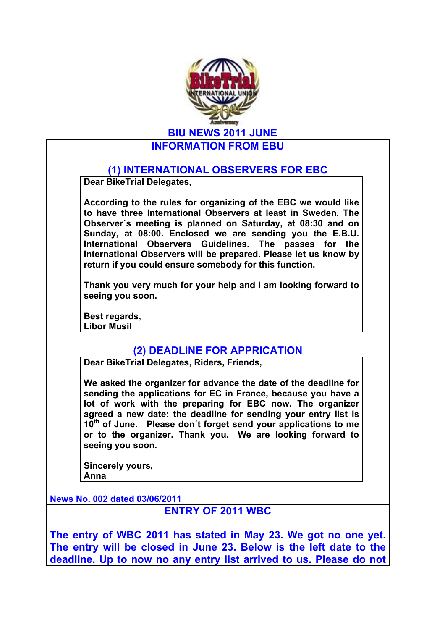

## **INFORMATION FROM EBU**

## **(1) INTERNATIONAL OBSERVERS FOR EBC**

**Dear BikeTrial Delegates,**

**According to the rules for organizing of the EBC we would like to have three International Observers at least in Sweden. The Observer´s meeting is planned on Saturday, at 08:30 and on Sunday, at 08:00. Enclosed we are sending you the E.B.U. International Observers Guidelines. The passes for the International Observers will be prepared. Please let us know by return if you could ensure somebody for this function.**

**Thank you very much for your help and I am looking forward to seeing you soon.**

**Best regards, Libor Musil**

## **(2) DEADLINE FOR APPRICATION**

**Dear BikeTrial Delegates, Riders, Friends,**

**We asked the organizer for advance the date of the deadline for sending the applications for EC in France, because you have a lot of work with the preparing for EBC now. The organizer agreed a new date: the deadline for sending your entry list is 10th of June. Please don´t forget send your applications to me or to the organizer. Thank you. We are looking forward to seeing you soon.**

**Sincerely yours, Anna** 

**News No. 002 dated 03/06/2011**

**ENTRY OF 2011 WBC**

**The entry of WBC 2011 has stated in May 23. We got no one yet. The entry will be closed in June 23. Below is the left date to the deadline. Up to now no any entry list arrived to us. Please do not**